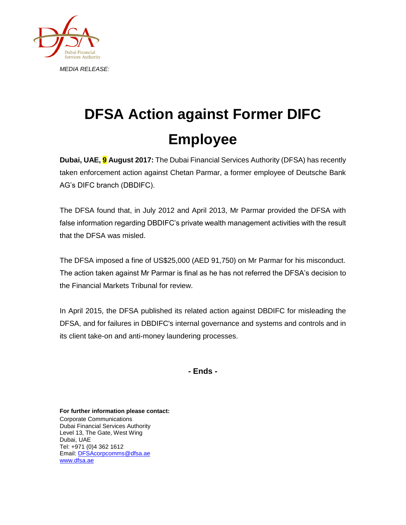

## **DFSA Action against Former DIFC Employee**

**Dubai, UAE, 9 August 2017:** The Dubai Financial Services Authority (DFSA) has recently taken enforcement action against Chetan Parmar, a former employee of Deutsche Bank AG's DIFC branch (DBDIFC).

The DFSA found that, in July 2012 and April 2013, Mr Parmar provided the DFSA with false information regarding DBDIFC's private wealth management activities with the result that the DFSA was misled.

The DFSA imposed a fine of US\$25,000 (AED 91,750) on Mr Parmar for his misconduct. The action taken against Mr Parmar is final as he has not referred the DFSA's decision to the Financial Markets Tribunal for review.

In April 2015, the DFSA published its related action against DBDIFC for misleading the DFSA, and for failures in DBDIFC's internal governance and systems and controls and in its client take-on and anti-money laundering processes.

**- Ends -**

**For further information please contact:** Corporate Communications Dubai Financial Services Authority Level 13, The Gate, West Wing Dubai, UAE Tel: +971 (0)4 362 1612 Email[: DFSAcorpcomms@dfsa.ae](mailto:DFSAcorpcomms@dfsa.ae) [www.dfsa.ae](http://www.dfsa.ae/)